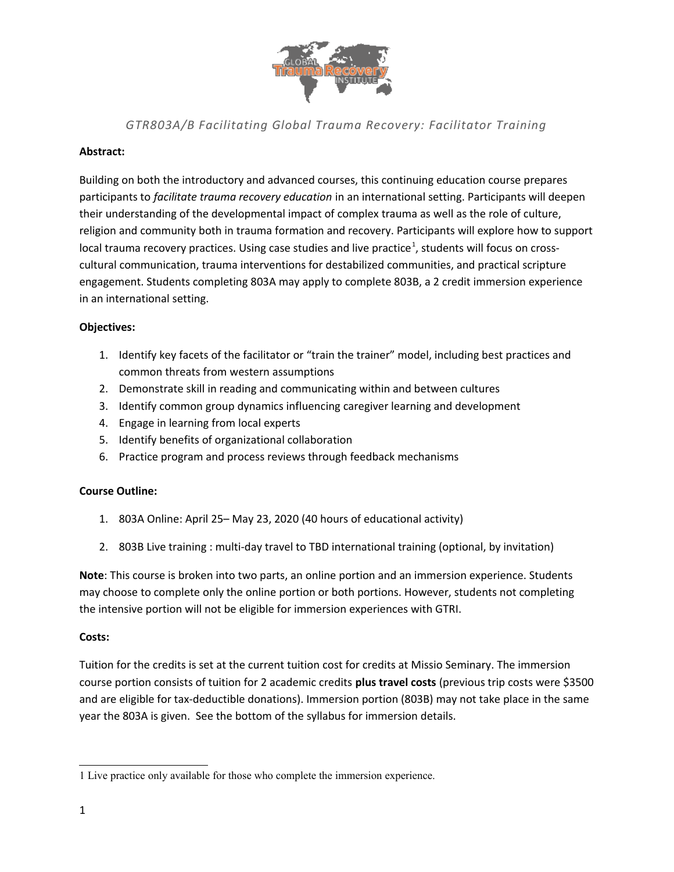

*GTR803A/B Facilitating Global Trauma Recovery: Facilitator Training*

# **Abstract:**

Building on both the introductory and advanced courses, this continuing education course prepares participants to *facilitate trauma recovery education* in an international setting. Participants will deepen their understanding of the developmental impact of complex trauma as well as the role of culture, religion and community both in trauma formation and recovery. Participants will explore how to support local trauma recovery practices. Using case studies and live practice<sup>[1](#page-0-0)</sup>, students will focus on crosscultural communication, trauma interventions for destabilized communities, and practical scripture engagement. Students completing 803A may apply to complete 803B, a 2 credit immersion experience in an international setting.

# **Objectives:**

- 1. Identify key facets of the facilitator or "train the trainer" model, including best practices and common threats from western assumptions
- 2. Demonstrate skill in reading and communicating within and between cultures
- 3. Identify common group dynamics influencing caregiver learning and development
- 4. Engage in learning from local experts
- 5. Identify benefits of organizational collaboration
- 6. Practice program and process reviews through feedback mechanisms

## **Course Outline:**

- 1. 803A Online: April 25– May 23, 2020 (40 hours of educational activity)
- 2. 803B Live training : multi-day travel to TBD international training (optional, by invitation)

**Note**: This course is broken into two parts, an online portion and an immersion experience. Students may choose to complete only the online portion or both portions. However, students not completing the intensive portion will not be eligible for immersion experiences with GTRI.

## **Costs:**

Tuition for the credits is set at the current tuition cost for credits at Missio Seminary. The immersion course portion consists of tuition for 2 academic credits **plus travel costs** (previous trip costs were \$3500 and are eligible for tax-deductible donations). Immersion portion (803B) may not take place in the same year the 803A is given. See the bottom of the syllabus for immersion details.

<span id="page-0-0"></span><sup>1</sup> Live practice only available for those who complete the immersion experience.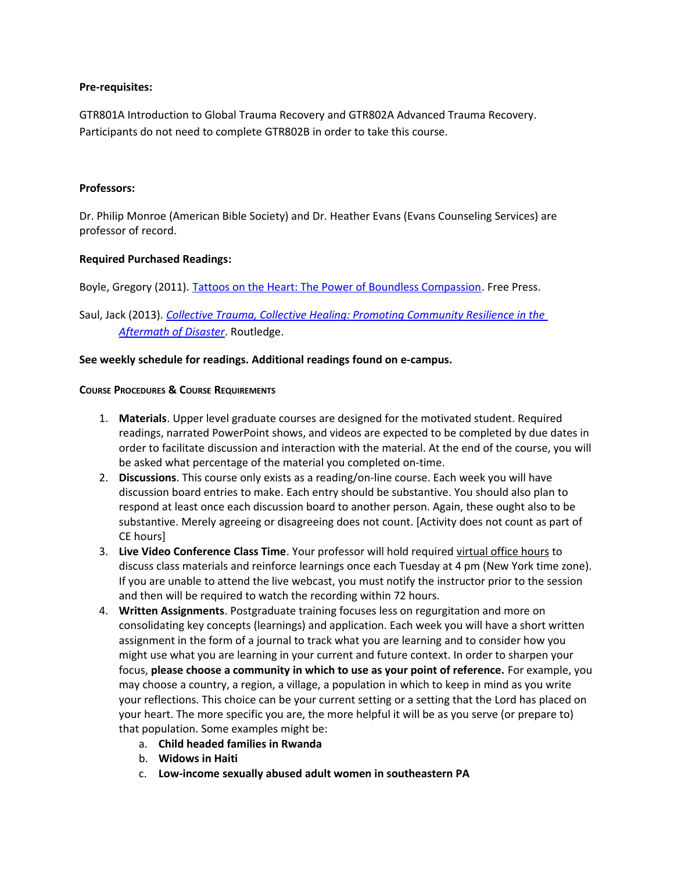### **Pre-requisites:**

GTR801A Introduction to Global Trauma Recovery and GTR802A Advanced Trauma Recovery. Participants do not need to complete GTR802B in order to take this course.

### **Professors:**

Dr. Philip Monroe (American Bible Society) and Dr. Heather Evans (Evans Counseling Services) are professor of record.

### **Required Purchased Readings:**

Boyle, Gregory (2011). [Tattoos on the Heart: The Power of Boundless Compassion.](https://www.amazon.com/Tattoos-Heart-Power-Boundless-Compassion/dp/1439153159) Free Press.

# Saul, Jack (2013). *[Collective Trauma, Collective Healing: Promoting Community Resilience in the](http://www.amazon.com/Collective-Trauma-Healing-Resilience-Psychosocial/dp/0415884179/ref=sr_1_1?ie=UTF8&qid=1383585130&sr=8-1&keywords=saul+collective)  [Aftermath of Disaster](http://www.amazon.com/Collective-Trauma-Healing-Resilience-Psychosocial/dp/0415884179/ref=sr_1_1?ie=UTF8&qid=1383585130&sr=8-1&keywords=saul+collective)*. Routledge.

### **See weekly schedule for readings. Additional readings found on e-campus.**

#### **COURSE PROCEDURES & COURSE REQUIREMENTS**

- 1. **Materials**. Upper level graduate courses are designed for the motivated student. Required readings, narrated PowerPoint shows, and videos are expected to be completed by due dates in order to facilitate discussion and interaction with the material. At the end of the course, you will be asked what percentage of the material you completed on-time.
- 2. **Discussions**. This course only exists as a reading/on-line course. Each week you will have discussion board entries to make. Each entry should be substantive. You should also plan to respond at least once each discussion board to another person. Again, these ought also to be substantive. Merely agreeing or disagreeing does not count. [Activity does not count as part of CE hours]
- 3. **Live Video Conference Class Time**. Your professor will hold required virtual office hours to discuss class materials and reinforce learnings once each Tuesday at 4 pm (New York time zone). If you are unable to attend the live webcast, you must notify the instructor prior to the session and then will be required to watch the recording within 72 hours.
- 4. **Written Assignments**. Postgraduate training focuses less on regurgitation and more on consolidating key concepts (learnings) and application. Each week you will have a short written assignment in the form of a journal to track what you are learning and to consider how you might use what you are learning in your current and future context. In order to sharpen your focus, **please choose a community in which to use as your point of reference.** For example, you may choose a country, a region, a village, a population in which to keep in mind as you write your reflections. This choice can be your current setting or a setting that the Lord has placed on your heart. The more specific you are, the more helpful it will be as you serve (or prepare to) that population. Some examples might be:
	- a. **Child headed families in Rwanda**
	- b. **Widows in Haiti**
	- c. **Low-income sexually abused adult women in southeastern PA**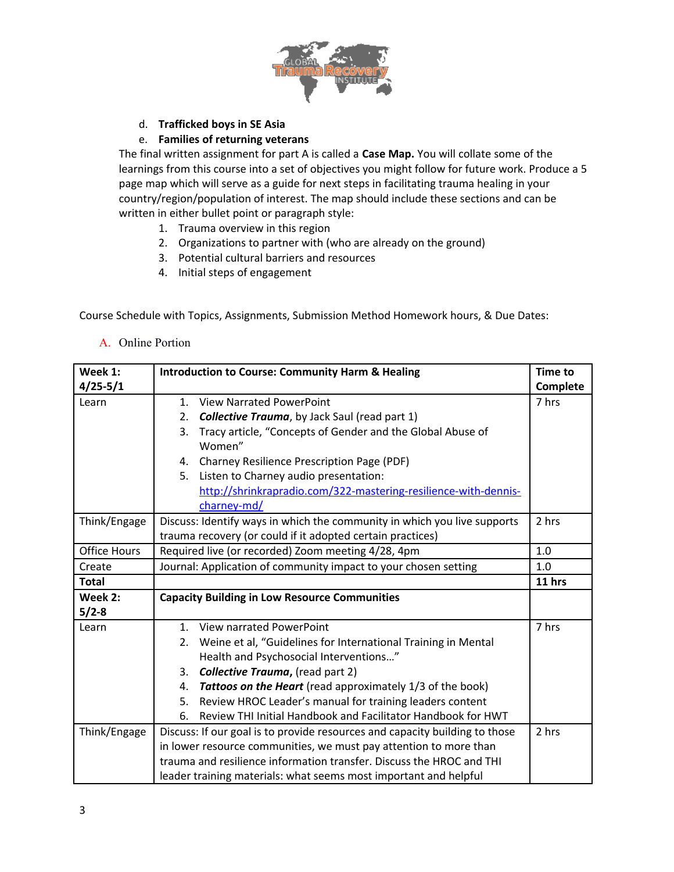

# d. **Trafficked boys in SE Asia**

# e. **Families of returning veterans**

The final written assignment for part A is called a **Case Map.** You will collate some of the learnings from this course into a set of objectives you might follow for future work. Produce a 5 page map which will serve as a guide for next steps in facilitating trauma healing in your country/region/population of interest. The map should include these sections and can be written in either bullet point or paragraph style:

- 1. Trauma overview in this region
- 2. Organizations to partner with (who are already on the ground)
- 3. Potential cultural barriers and resources
- 4. Initial steps of engagement

Course Schedule with Topics, Assignments, Submission Method Homework hours, & Due Dates:

A. Online Portion

| Week 1:             | <b>Introduction to Course: Community Harm &amp; Healing</b>                 | <b>Time to</b> |
|---------------------|-----------------------------------------------------------------------------|----------------|
| $4/25 - 5/1$        |                                                                             | Complete       |
| Learn               | <b>View Narrated PowerPoint</b><br>1 <sup>1</sup>                           | 7 hrs          |
|                     | <b>Collective Trauma</b> , by Jack Saul (read part 1)<br>2.                 |                |
|                     | Tracy article, "Concepts of Gender and the Global Abuse of<br>3.            |                |
|                     | Women"                                                                      |                |
|                     | <b>Charney Resilience Prescription Page (PDF)</b><br>4.                     |                |
|                     | Listen to Charney audio presentation:<br>5.                                 |                |
|                     | http://shrinkrapradio.com/322-mastering-resilience-with-dennis-             |                |
|                     | charney-md/                                                                 |                |
| Think/Engage        | Discuss: Identify ways in which the community in which you live supports    | 2 hrs          |
|                     | trauma recovery (or could if it adopted certain practices)                  |                |
| <b>Office Hours</b> | Required live (or recorded) Zoom meeting 4/28, 4pm                          | 1.0            |
| Create              | Journal: Application of community impact to your chosen setting             | 1.0            |
| <b>Total</b>        |                                                                             | 11 hrs         |
| Week 2:             | <b>Capacity Building in Low Resource Communities</b>                        |                |
| $5/2-8$             |                                                                             |                |
| Learn               | View narrated PowerPoint<br>1 <sub>1</sub>                                  | 7 hrs          |
|                     | Weine et al, "Guidelines for International Training in Mental<br>2.         |                |
|                     | Health and Psychosocial Interventions"                                      |                |
|                     | <b>Collective Trauma, (read part 2)</b><br>3.                               |                |
|                     | Tattoos on the Heart (read approximately 1/3 of the book)<br>4.             |                |
|                     | Review HROC Leader's manual for training leaders content<br>5.              |                |
|                     | Review THI Initial Handbook and Facilitator Handbook for HWT<br>6.          |                |
| Think/Engage        | Discuss: If our goal is to provide resources and capacity building to those | 2 hrs          |
|                     | in lower resource communities, we must pay attention to more than           |                |
|                     | trauma and resilience information transfer. Discuss the HROC and THI        |                |
|                     | leader training materials: what seems most important and helpful            |                |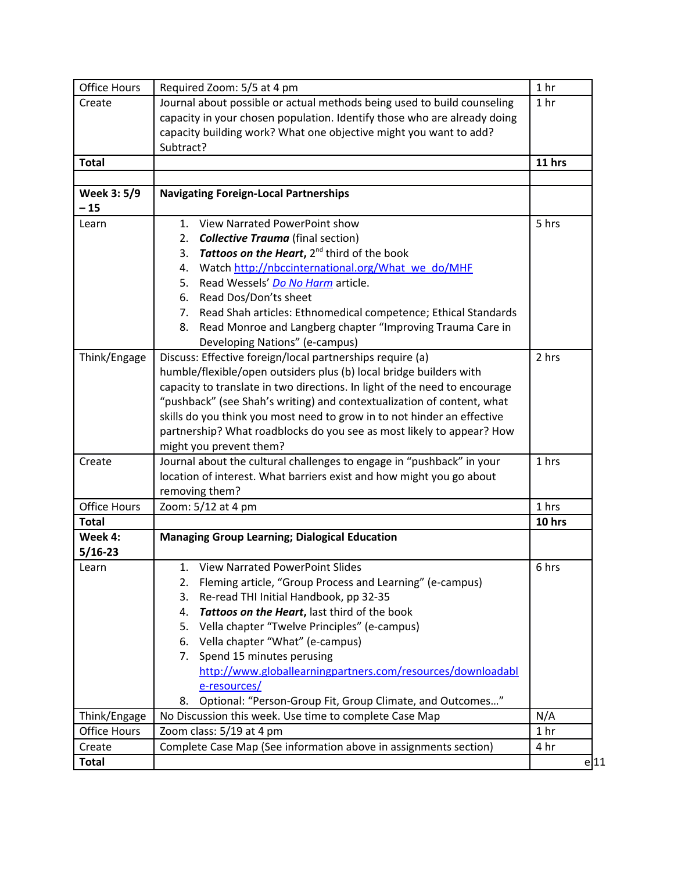| <b>Office Hours</b> | Required Zoom: 5/5 at 4 pm                                                 | 1 <sub>hr</sub> |
|---------------------|----------------------------------------------------------------------------|-----------------|
| Create              | Journal about possible or actual methods being used to build counseling    | 1 <sub>hr</sub> |
|                     | capacity in your chosen population. Identify those who are already doing   |                 |
|                     | capacity building work? What one objective might you want to add?          |                 |
|                     | Subtract?                                                                  |                 |
| <b>Total</b>        |                                                                            | 11 hrs          |
|                     |                                                                            |                 |
| Week 3: 5/9         | <b>Navigating Foreign-Local Partnerships</b>                               |                 |
| $-15$               |                                                                            |                 |
| Learn               | 1. View Narrated PowerPoint show                                           | 5 hrs           |
|                     | <b>Collective Trauma</b> (final section)<br>2.                             |                 |
|                     | <b>Tattoos on the Heart, 2<sup>nd</sup> third of the book</b><br>3.        |                 |
|                     | Watch http://nbccinternational.org/What we do/MHF<br>4.                    |                 |
|                     | 5. Read Wessels' Do No Harm article.                                       |                 |
|                     | 6. Read Dos/Don'ts sheet                                                   |                 |
|                     | Read Shah articles: Ethnomedical competence; Ethical Standards<br>7.       |                 |
|                     | Read Monroe and Langberg chapter "Improving Trauma Care in<br>8.           |                 |
|                     | Developing Nations" (e-campus)                                             |                 |
| Think/Engage        | Discuss: Effective foreign/local partnerships require (a)                  | 2 hrs           |
|                     | humble/flexible/open outsiders plus (b) local bridge builders with         |                 |
|                     | capacity to translate in two directions. In light of the need to encourage |                 |
|                     | "pushback" (see Shah's writing) and contextualization of content, what     |                 |
|                     | skills do you think you most need to grow in to not hinder an effective    |                 |
|                     | partnership? What roadblocks do you see as most likely to appear? How      |                 |
|                     | might you prevent them?                                                    |                 |
| Create              | Journal about the cultural challenges to engage in "pushback" in your      | 1 hrs           |
|                     | location of interest. What barriers exist and how might you go about       |                 |
|                     | removing them?                                                             |                 |
| <b>Office Hours</b> | Zoom: 5/12 at 4 pm                                                         | 1 hrs           |
| <b>Total</b>        |                                                                            | 10 hrs          |
| Week 4:             | <b>Managing Group Learning; Dialogical Education</b>                       |                 |
| $5/16 - 23$         |                                                                            |                 |
| Learn               | 1. View Narrated PowerPoint Slides                                         | 6 hrs           |
|                     | Fleming article, "Group Process and Learning" (e-campus)<br>2.             |                 |
|                     | Re-read THI Initial Handbook, pp 32-35<br>3.                               |                 |
|                     | Tattoos on the Heart, last third of the book<br>4.                         |                 |
|                     | Vella chapter "Twelve Principles" (e-campus)<br>5.                         |                 |
|                     | 6. Vella chapter "What" (e-campus)                                         |                 |
|                     | Spend 15 minutes perusing<br>7.                                            |                 |
|                     | http://www.globallearningpartners.com/resources/downloadabl                |                 |
|                     | e-resources/                                                               |                 |
|                     | Optional: "Person-Group Fit, Group Climate, and Outcomes"<br>8.            |                 |
| Think/Engage        | No Discussion this week. Use time to complete Case Map                     | N/A             |
| Office Hours        | Zoom class: 5/19 at 4 pm                                                   | 1 <sub>hr</sub> |
| Create              | Complete Case Map (See information above in assignments section)           | 4 hr            |
| <b>Total</b>        |                                                                            | e 11            |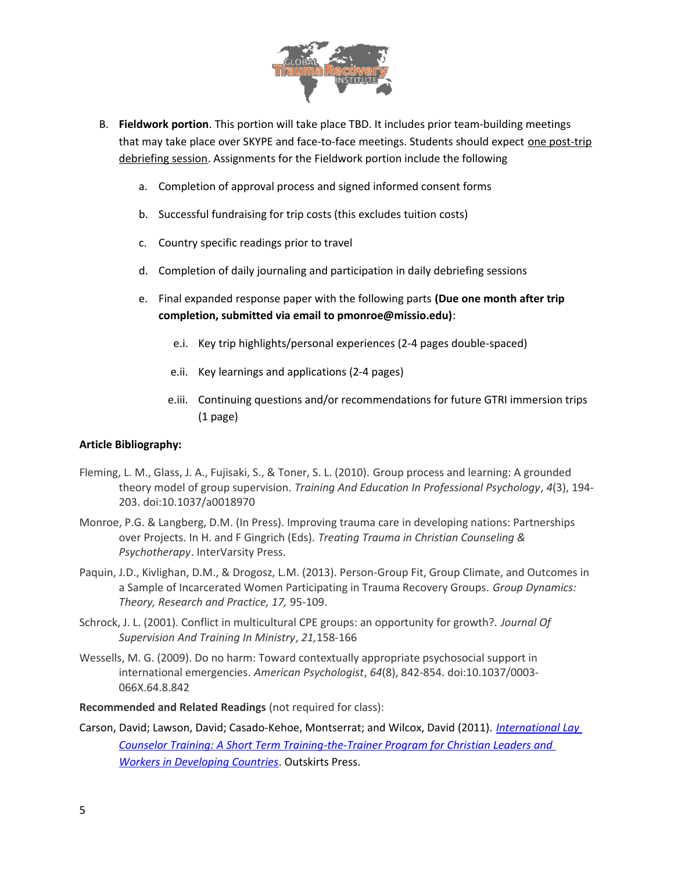

- B. **Fieldwork portion**. This portion will take place TBD. It includes prior team-building meetings that may take place over SKYPE and face-to-face meetings. Students should expect one post-trip debriefing session. Assignments for the Fieldwork portion include the following
	- a. Completion of approval process and signed informed consent forms
	- b. Successful fundraising for trip costs (this excludes tuition costs)
	- c. Country specific readings prior to travel
	- d. Completion of daily journaling and participation in daily debriefing sessions
	- e. Final expanded response paper with the following parts **(Due one month after trip completion, submitted via email to pmonroe@missio.edu)**:
		- e.i. Key trip highlights/personal experiences (2-4 pages double-spaced)
		- e.ii. Key learnings and applications (2-4 pages)
		- e.iii. Continuing questions and/or recommendations for future GTRI immersion trips (1 page)

## **Article Bibliography:**

- Fleming, L. M., Glass, J. A., Fujisaki, S., & Toner, S. L. (2010). Group process and learning: A grounded theory model of group supervision. *Training And Education In Professional Psychology*, *4*(3), 194- 203. doi:10.1037/a0018970
- Monroe, P.G. & Langberg, D.M. (In Press). Improving trauma care in developing nations: Partnerships over Projects. In H. and F Gingrich (Eds). *Treating Trauma in Christian Counseling & Psychotherapy*. InterVarsity Press.
- Paquin, J.D., Kivlighan, D.M., & Drogosz, L.M. (2013). Person-Group Fit, Group Climate, and Outcomes in a Sample of Incarcerated Women Participating in Trauma Recovery Groups. *Group Dynamics: Theory, Research and Practice, 17,* 95-109.
- Schrock, J. L. (2001). Conflict in multicultural CPE groups: an opportunity for growth?. *Journal Of Supervision And Training In Ministry*, *21,*158-166
- Wessells, M. G. (2009). Do no harm: Toward contextually appropriate psychosocial support in international emergencies. *American Psychologist*, *64*(8), 842-854. doi:10.1037/0003- 066X.64.8.842

**Recommended and Related Readings** (not required for class):

Carson, David; Lawson, David; Casado-Kehoe, Montserrat; and Wilcox, David (2011). *[International Lay](http://www.amazon.com/dp/1432775839/ref=rdr_ext_tmb)  [Counselor Training: A Short Term Training-the-Trainer Program for Christian Leaders and](http://www.amazon.com/dp/1432775839/ref=rdr_ext_tmb)  [Workers in Developing Countries](http://www.amazon.com/dp/1432775839/ref=rdr_ext_tmb)*. Outskirts Press.